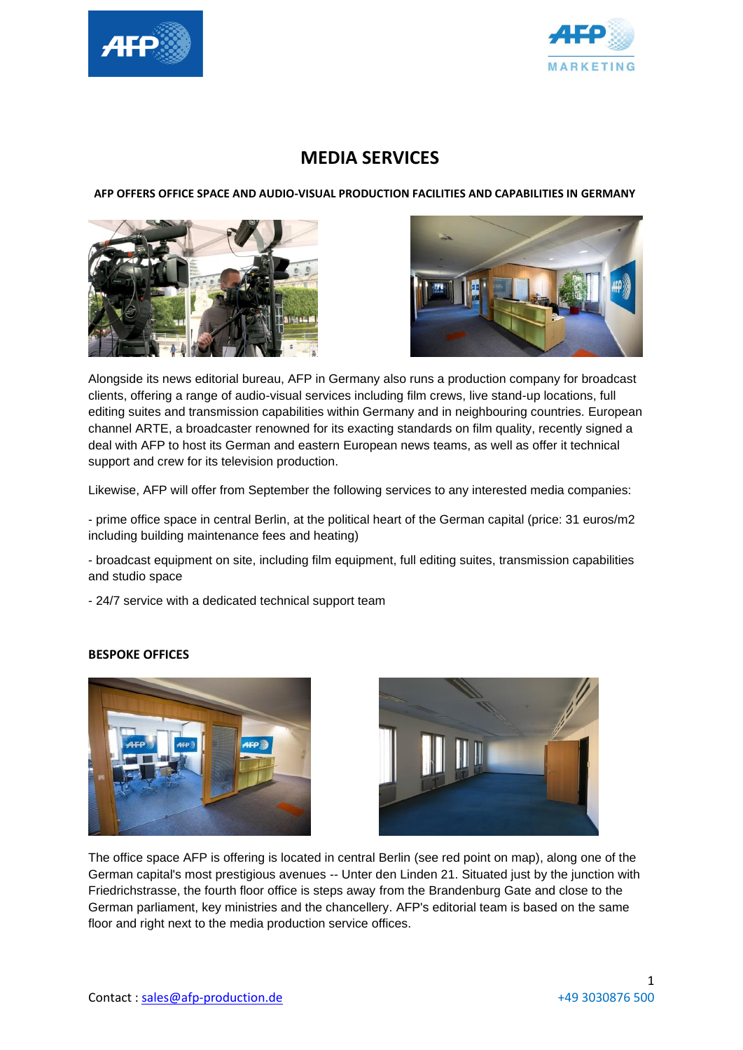



# **MEDIA SERVICES**

 **AFP OFFERS OFFICE SPACE AND AUDIO-VISUAL PRODUCTION FACILITIES AND CAPABILITIES IN GERMANY**





Alongside its news editorial bureau, AFP in Germany also runs a production company for broadcast clients, offering a range of audio-visual services including film crews, live stand-up locations, full editing suites and transmission capabilities within Germany and in neighbouring countries. European channel ARTE, a broadcaster renowned for its exacting standards on film quality, recently signed a deal with AFP to host its German and eastern European news teams, as well as offer it technical support and crew for its television production.

Likewise, AFP will offer from September the following services to any interested media companies:

- prime office space in central Berlin, at the political heart of the German capital (price: 31 euros/m2 including building maintenance fees and heating)

- broadcast equipment on site, including film equipment, full editing suites, transmission capabilities and studio space

- 24/7 service with a dedicated technical support team

#### **BESPOKE OFFICES**





The office space AFP is offering is located in central Berlin (see red point on map), along one of the German capital's most prestigious avenues -- Unter den Linden 21. Situated just by the junction with Friedrichstrasse, the fourth floor office is steps away from the Brandenburg Gate and close to the German parliament, key ministries and the chancellery. AFP's editorial team is based on the same floor and right next to the media production service offices.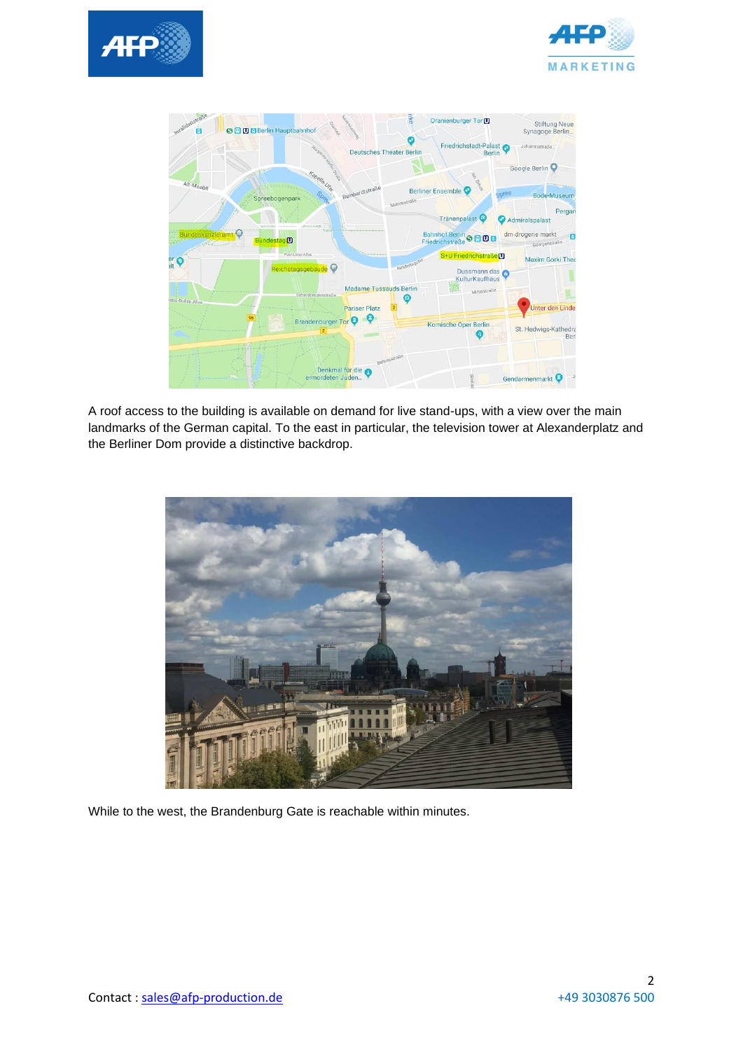





A roof access to the building is available on demand for live stand-ups, with a view over the main landmarks of the German capital. To the east in particular, the television tower at Alexanderplatz and the Berliner Dom provide a distinctive backdrop.



While to the west, the Brandenburg Gate is reachable within minutes.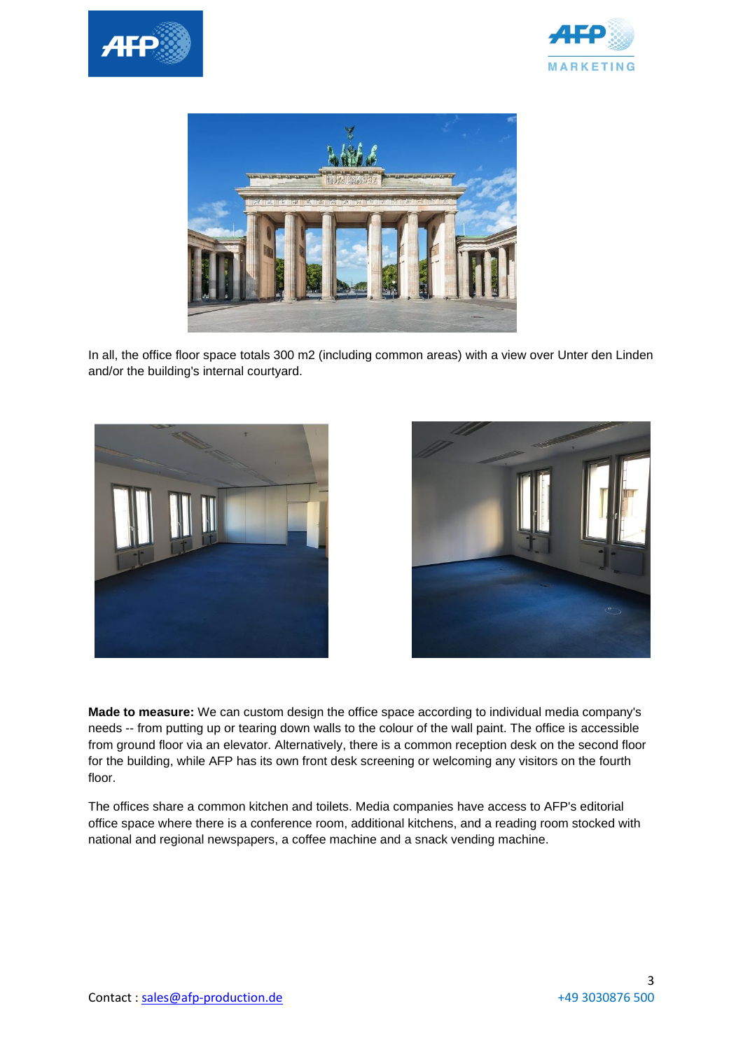





In all, the office floor space totals 300 m2 (including common areas) with a view over Unter den Linden and/or the building's internal courtyard.





**Made to measure:** We can custom design the office space according to individual media company's needs -- from putting up or tearing down walls to the colour of the wall paint. The office is accessible from ground floor via an elevator. Alternatively, there is a common reception desk on the second floor for the building, while AFP has its own front desk screening or welcoming any visitors on the fourth floor.

The offices share a common kitchen and toilets. Media companies have access to AFP's editorial office space where there is a conference room, additional kitchens, and a reading room stocked with national and regional newspapers, a coffee machine and a snack vending machine.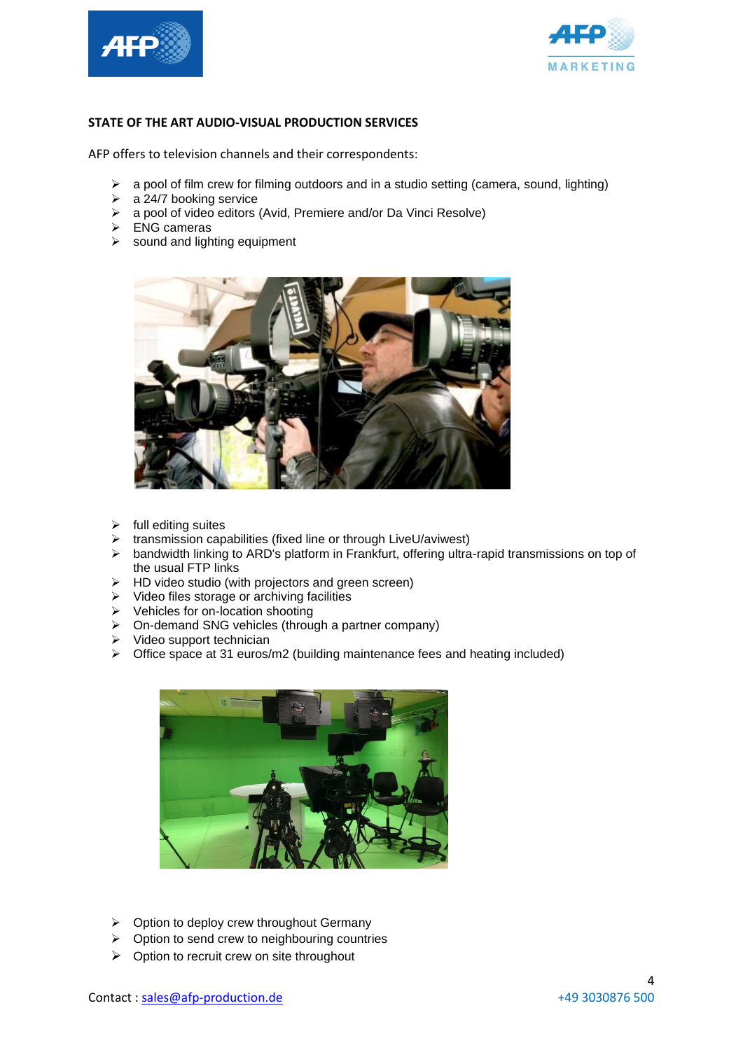



#### **STATE OF THE ART AUDIO-VISUAL PRODUCTION SERVICES**

AFP offers to television channels and their correspondents:

- ➢ a pool of film crew for filming outdoors and in a studio setting (camera, sound, lighting)
- $\geq$  a 24/7 booking service
- ➢ a pool of video editors (Avid, Premiere and/or Da Vinci Resolve)
- $\triangleright$  ENG cameras
- $\geq$  sound and lighting equipment



- ➢ full editing suites
- ➢ transmission capabilities (fixed line or through LiveU/aviwest)
- ➢ bandwidth linking to ARD's platform in Frankfurt, offering ultra-rapid transmissions on top of the usual FTP links
- ➢ HD video studio (with projectors and green screen)
- ➢ Video files storage or archiving facilities
- ➢ Vehicles for on-location shooting
- ➢ On-demand SNG vehicles (through a partner company)
- ➢ Video support technician
- $\triangleright$  Office space at 31 euros/m2 (building maintenance fees and heating included)



- $\triangleright$  Option to deploy crew throughout Germany
- ➢ Option to send crew to neighbouring countries
- $\triangleright$  Option to recruit crew on site throughout